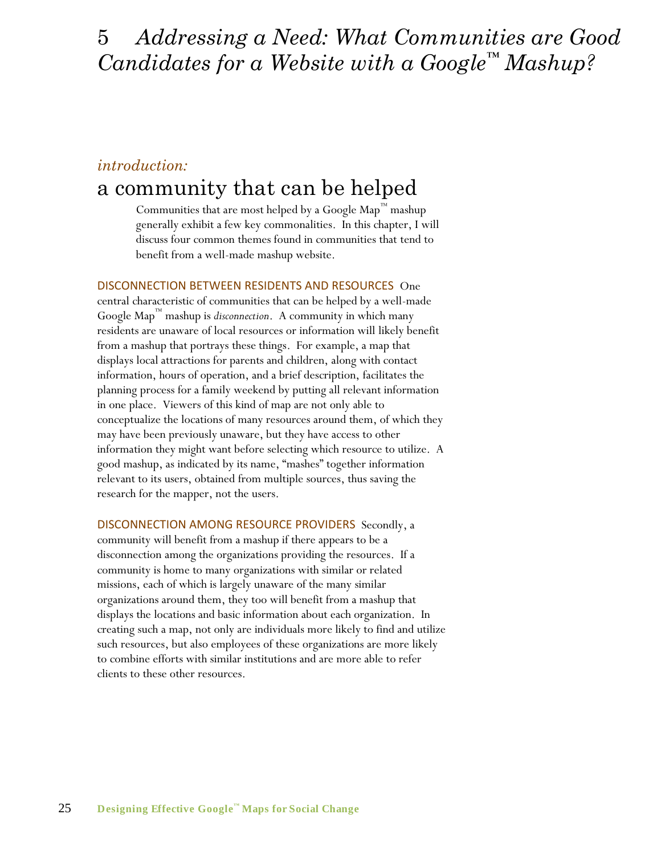## 5 *Addressing a Need: What Communities are Good Candidates for a Website with a Google™ Mashup?*

### *introduction:*

## a community that can be helped

Communities that are most helped by a Google Map™ mashup generally exhibit a few key commonalities. In this chapter, I will discuss four common themes found in communities that tend to benefit from a well-made mashup website.

DISCONNECTION BETWEEN RESIDENTS AND RESOURCES One central characteristic of communities that can be helped by a well-made Google Map ™ mashup is *disconnection*. A community in which many residents are unaware of local resources or information will likely benefit from a mashup that portrays these things. For example, a map that displays local attractions for parents and children, along with contact information, hours of operation, and a brief description, facilitates the planning process for a family weekend by putting all relevant information in one place. Viewers of this kind of map are not only able to conceptualize the locations of many resources around them, of which they may have been previously unaware, but they have access to other information they might want before selecting which resource to utilize. A good mashup, as indicated by its name, "mashes" together information relevant to its users, obtained from multiple sources, thus saving the research for the mapper, not the users.

DISCONNECTION AMONG RESOURCE PROVIDERS Secondly, a community will benefit from a mashup if there appears to be a disconnection among the organizations providing the resources. If a community is home to many organizations with similar or related missions, each of which is largely unaware of the many similar organizations around them, they too will benefit from a mashup that displays the locations and basic information about each organization. In creating such a map, not only are individuals more likely to find and utilize such resources, but also employees of these organizations are more likely to combine efforts with similar institutions and are more able to refer clients to these other resources.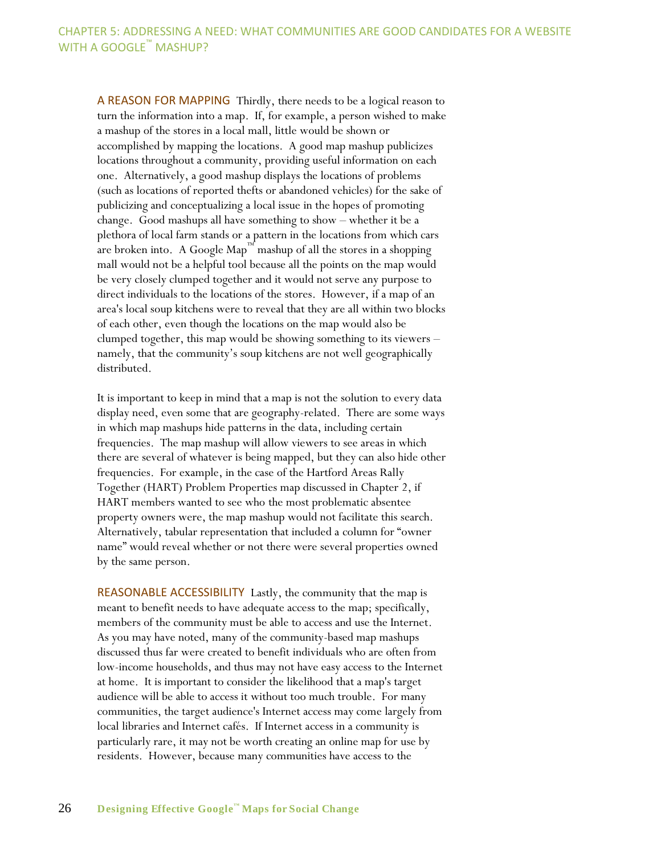A REASON FOR MAPPING Thirdly, there needs to be a logical reason to turn the information into a map. If, for example, a person wished to make a mashup of the stores in a local mall, little would be shown or accomplished by mapping the locations. A good map mashup publicizes locations throughout a community, providing useful information on each one. Alternatively, a good mashup displays the locations of problems (such as locations of reported thefts or abandoned vehicles) for the sake of publicizing and conceptualizing a local issue in the hopes of promoting change. Good mashups all have something to show – whether it be a plethora of local farm stands or a pattern in the locations from which cars are broken into. A Google Map™ mashup of all the stores in a shopping mall would not be a helpful tool because all the points on the map would be very closely clumped together and it would not serve any purpose to direct individuals to the locations of the stores. However, if a map of an area's local soup kitchens were to reveal that they are all within two blocks of each other, even though the locations on the map would also be clumped together, this map would be showing something to its viewers – namely, that the community's soup kitchens are not well geographically distributed.

It is important to keep in mind that a map is not the solution to every data display need, even some that are geography-related. There are some ways in which map mashups hide patterns in the data, including certain frequencies. The map mashup will allow viewers to see areas in which there are several of whatever is being mapped, but they can also hide other frequencies. For example, in the case of the Hartford Areas Rally Together (HART) Problem Properties map discussed in Chapter 2, if HART members wanted to see who the most problematic absentee property owners were, the map mashup would not facilitate this search. Alternatively, tabular representation that included a column for "owner name" would reveal whether or not there were several properties owned by the same person.

REASONABLE ACCESSIBILITY Lastly, the community that the map is meant to benefit needs to have adequate access to the map; specifically, members of the community must be able to access and use the Internet. As you may have noted, many of the community-based map mashups discussed thus far were created to benefit individuals who are often from low-income households, and thus may not have easy access to the Internet at home. It is important to consider the likelihood that a map's target audience will be able to access it without too much trouble. For many communities, the target audience's Internet access may come largely from local libraries and Internet cafés. If Internet access in a community is particularly rare, it may not be worth creating an online map for use by residents. However, because many communities have access to the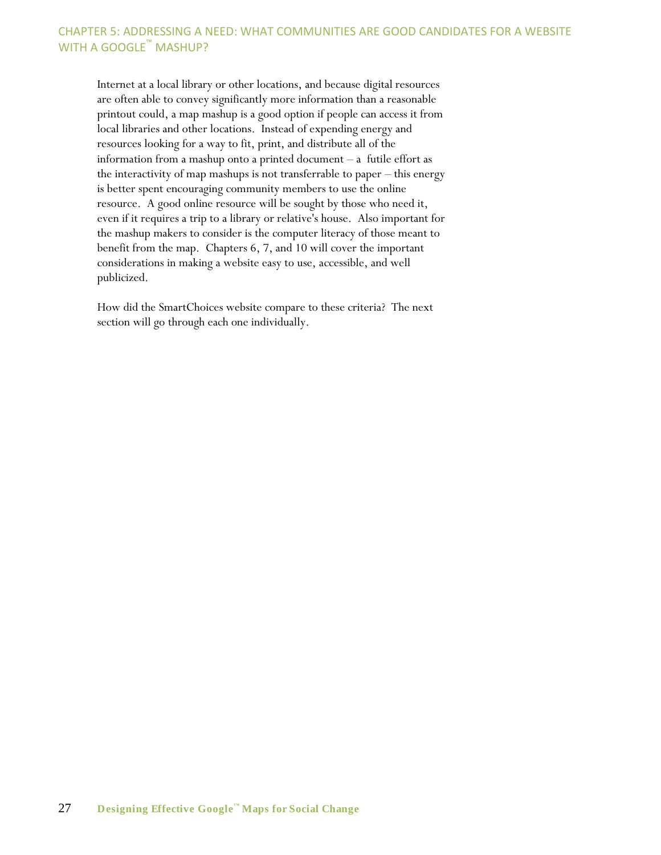#### CHAPTER 5: ADDRESSING A NEED: WHAT COMMUNITIES ARE GOOD CANDIDATES FOR A WEBSITE WITH A GOOGLE<sup>™</sup> MASHUP?

Internet at a local library or other locations, and because digital resources are often able to convey significantly more information than a reasonable printout could, a map mashup is a good option if people can access it from local libraries and other locations. Instead of expending energy and resources looking for a way to fit, print, and distribute all of the information from a mashup onto a printed document – a futile effort as the interactivity of map mashups is not transferrable to paper – this energy is better spent encouraging community members to use the online resource. A good online resource will be sought by those who need it, even if it requires a trip to a library or relative's house. Also important for the mashup makers to consider is the computer literacy of those meant to benefit from the map. Chapters 6, 7, and 10 will cover the important considerations in making a website easy to use, accessible, and well publicized.

How did the SmartChoices website compare to these criteria? The next section will go through each one individually.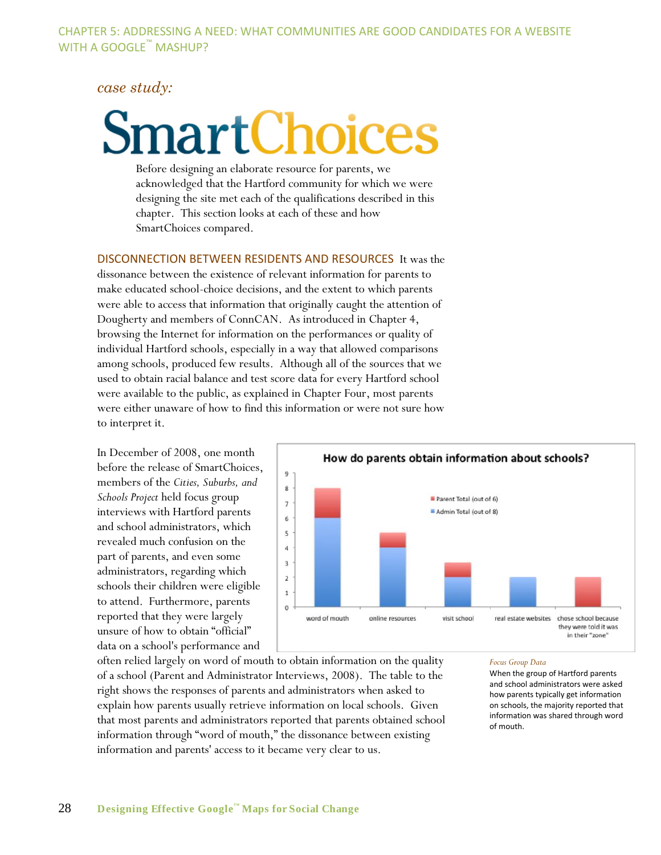#### *case study:*

# nartChoices

Before designing an elaborate resource for parents, we acknowledged that the Hartford community for which we were designing the site met each of the qualifications described in this chapter. This section looks at each of these and how SmartChoices compared.

DISCONNECTION BETWEEN RESIDENTS AND RESOURCES It was the

dissonance between the existence of relevant information for parents to make educated school-choice decisions, and the extent to which parents were able to access that information that originally caught the attention of Dougherty and members of ConnCAN. As introduced in Chapter 4, browsing the Internet for information on the performances or quality of individual Hartford schools, especially in a way that allowed comparisons among schools, produced few results. Although all of the sources that we used to obtain racial balance and test score data for every Hartford school were available to the public, as explained in Chapter Four, most parents were either unaware of how to find this information or were not sure how to interpret it.

In December of 2008, one month before the release of SmartChoices, members of the *Cities, Suburbs, and Schools Project* held focus group interviews with Hartford parents and school administrators, which revealed much confusion on the part of parents, and even some administrators, regarding which schools their children were eligible to attend. Furthermore, parents reported that they were largely unsure of how to obtain "official" data on a school's performance and



often relied largely on word of mouth to obtain information on the quality of a school (Parent and Administrator Interviews, 2008). The table to the right shows the responses of parents and administrators when asked to explain how parents usually retrieve information on local schools. Given that most parents and administrators reported that parents obtained school information through "word of mouth," the dissonance between existing information and parents' access to it became very clear to us.

#### *Focus Group Data*

When the group of Hartford parents and school administrators were asked how parents typically get information on schools, the majority reported that information was shared through word of mouth.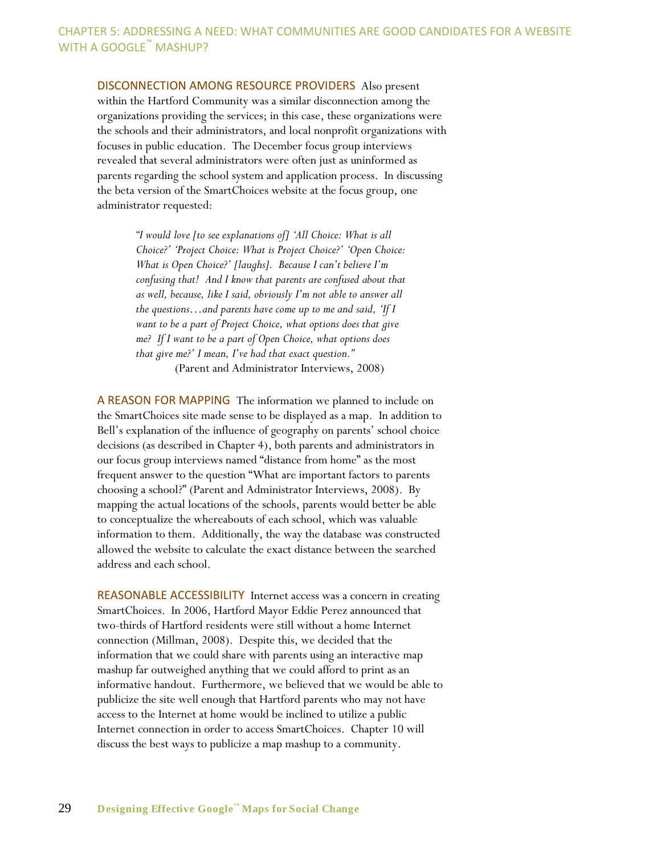#### CHAPTER 5: ADDRESSING A NEED: WHAT COMMUNITIES ARE GOOD CANDIDATES FOR A WEBSITE WITH A GOOGLE™ MASHUP?

DISCONNECTION AMONG RESOURCE PROVIDERS Also present within the Hartford Community was a similar disconnection among the organizations providing the services; in this case, these organizations were the schools and their administrators, and local nonprofit organizations with focuses in public education. The December focus group interviews revealed that several administrators were often just as uninformed as parents regarding the school system and application process. In discussing the beta version of the SmartChoices website at the focus group, one administrator requested:

> *"I would love [to see explanations of] "All Choice: What is all Choice?" "Project Choice: What is Project Choice?" "Open Choice: What is Open Choice?" [laughs]. Because I can"t believe I"m confusing that! And I know that parents are confused about that as well, because, like I said, obviously I"m not able to answer all the questions…and parents have come up to me and said, "If I want to be a part of Project Choice, what options does that give me? If I want to be a part of Open Choice, what options does that give me?" I mean, I"ve had that exact question."*  (Parent and Administrator Interviews, 2008)

A REASON FOR MAPPING The information we planned to include on the SmartChoices site made sense to be displayed as a map. In addition to Bell's explanation of the influence of geography on parents' school choice decisions (as described in Chapter 4), both parents and administrators in our focus group interviews named "distance from home" as the most frequent answer to the question "What are important factors to parents choosing a school?‖ (Parent and Administrator Interviews, 2008). By mapping the actual locations of the schools, parents would better be able to conceptualize the whereabouts of each school, which was valuable information to them. Additionally, the way the database was constructed allowed the website to calculate the exact distance between the searched address and each school.

REASONABLE ACCESSIBILITY Internet access was a concern in creating SmartChoices. In 2006, Hartford Mayor Eddie Perez announced that two-thirds of Hartford residents were still without a home Internet connection (Millman, 2008). Despite this, we decided that the information that we could share with parents using an interactive map mashup far outweighed anything that we could afford to print as an informative handout. Furthermore, we believed that we would be able to publicize the site well enough that Hartford parents who may not have access to the Internet at home would be inclined to utilize a public Internet connection in order to access SmartChoices. Chapter 10 will discuss the best ways to publicize a map mashup to a community.